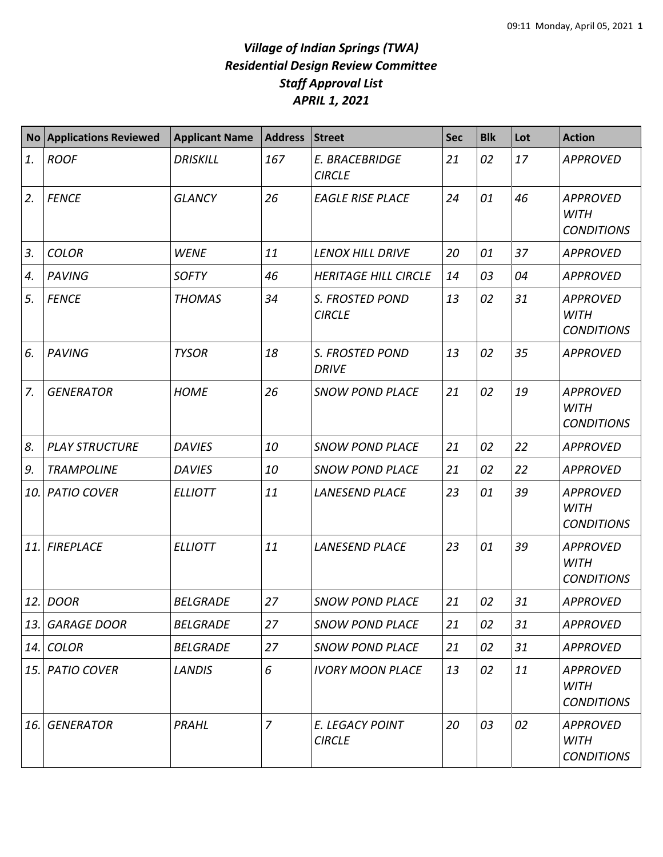## *Village of Indian Springs (TWA) Residential Design Review Committee Staff Approval List APRIL 1, 2021*

| <b>No</b> | <b>Applications Reviewed</b> | <b>Applicant Name</b> | Address        | <b>Street</b>                          | <b>Sec</b> | <b>Blk</b> | Lot | <b>Action</b>                                       |
|-----------|------------------------------|-----------------------|----------------|----------------------------------------|------------|------------|-----|-----------------------------------------------------|
| 1.        | <b>ROOF</b>                  | <b>DRISKILL</b>       | 167            | E. BRACEBRIDGE<br><b>CIRCLE</b>        | 21         | 02         | 17  | <b>APPROVED</b>                                     |
| 2.        | <b>FENCE</b>                 | <b>GLANCY</b>         | 26             | <b>EAGLE RISE PLACE</b>                | 24         | 01         | 46  | <b>APPROVED</b><br><b>WITH</b><br><b>CONDITIONS</b> |
| 3.        | <b>COLOR</b>                 | <b>WENE</b>           | 11             | <b>LENOX HILL DRIVE</b>                | 20         | 01         | 37  | <b>APPROVED</b>                                     |
| 4.        | <b>PAVING</b>                | <b>SOFTY</b>          | 46             | <b>HERITAGE HILL CIRCLE</b>            | 14         | 03         | 04  | <b>APPROVED</b>                                     |
| 5.        | <b>FENCE</b>                 | <b>THOMAS</b>         | 34             | S. FROSTED POND<br><b>CIRCLE</b>       | 13         | 02         | 31  | <b>APPROVED</b><br><b>WITH</b><br><b>CONDITIONS</b> |
| 6.        | <b>PAVING</b>                | <b>TYSOR</b>          | 18             | <b>S. FROSTED POND</b><br><b>DRIVE</b> | 13         | 02         | 35  | <b>APPROVED</b>                                     |
| 7.        | <b>GENERATOR</b>             | <b>HOME</b>           | 26             | <b>SNOW POND PLACE</b>                 | 21         | 02         | 19  | <b>APPROVED</b><br><b>WITH</b><br><b>CONDITIONS</b> |
| 8.        | <b>PLAY STRUCTURE</b>        | <b>DAVIES</b>         | 10             | <b>SNOW POND PLACE</b>                 | 21         | 02         | 22  | <b>APPROVED</b>                                     |
| 9.        | <b>TRAMPOLINE</b>            | <b>DAVIES</b>         | 10             | <b>SNOW POND PLACE</b>                 | 21         | 02         | 22  | <b>APPROVED</b>                                     |
| 10.       | <b>PATIO COVER</b>           | <b>ELLIOTT</b>        | 11             | <b>LANESEND PLACE</b>                  | 23         | 01         | 39  | <b>APPROVED</b><br><b>WITH</b><br><b>CONDITIONS</b> |
| 11.       | <b>FIREPLACE</b>             | <b>ELLIOTT</b>        | 11             | <b>LANESEND PLACE</b>                  | 23         | 01         | 39  | <b>APPROVED</b><br><b>WITH</b><br><b>CONDITIONS</b> |
| 12.       | <b>DOOR</b>                  | <b>BELGRADE</b>       | 27             | <b>SNOW POND PLACE</b>                 | 21         | 02         | 31  | <b>APPROVED</b>                                     |
| 13.       | <b>GARAGE DOOR</b>           | <b>BELGRADE</b>       | 27             | <b>SNOW POND PLACE</b>                 | 21         | 02         | 31  | <b>APPROVED</b>                                     |
| 14.       | <b>COLOR</b>                 | <b>BELGRADE</b>       | 27             | <b>SNOW POND PLACE</b>                 | 21         | 02         | 31  | <b>APPROVED</b>                                     |
| 15.       | <b>PATIO COVER</b>           | <b>LANDIS</b>         | 6              | <b>IVORY MOON PLACE</b>                | 13         | 02         | 11  | <b>APPROVED</b><br><b>WITH</b><br><b>CONDITIONS</b> |
| 16.       | <b>GENERATOR</b>             | PRAHL                 | $\overline{7}$ | E. LEGACY POINT<br><b>CIRCLE</b>       | 20         | 03         | 02  | <b>APPROVED</b><br><b>WITH</b><br><b>CONDITIONS</b> |